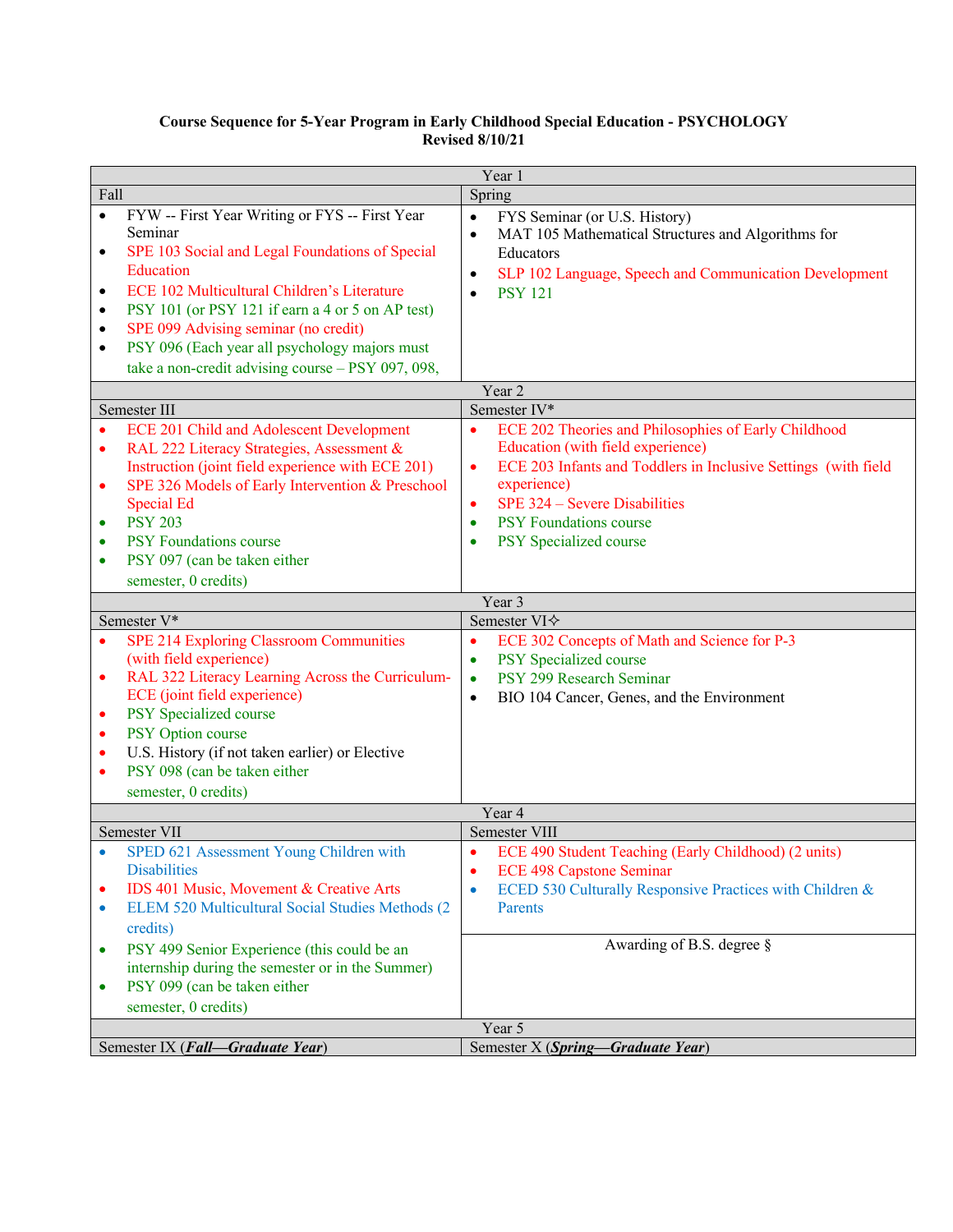## **Course Sequence for 5-Year Program in Early Childhood Special Education - PSYCHOLOGY Revised 8/10/21**

|                                                                    | Year 1                                                                                                                                                                                                                                                                                                                                                                     |                                                                                                                                                                                                                                  |  |
|--------------------------------------------------------------------|----------------------------------------------------------------------------------------------------------------------------------------------------------------------------------------------------------------------------------------------------------------------------------------------------------------------------------------------------------------------------|----------------------------------------------------------------------------------------------------------------------------------------------------------------------------------------------------------------------------------|--|
| Fall                                                               |                                                                                                                                                                                                                                                                                                                                                                            | Spring                                                                                                                                                                                                                           |  |
| $\bullet$<br>$\bullet$<br>$\bullet$<br>٠<br>$\bullet$<br>$\bullet$ | FYW -- First Year Writing or FYS -- First Year<br>Seminar<br>SPE 103 Social and Legal Foundations of Special<br>Education<br>ECE 102 Multicultural Children's Literature<br>PSY 101 (or PSY 121 if earn a 4 or 5 on AP test)<br>SPE 099 Advising seminar (no credit)<br>PSY 096 (Each year all psychology majors must<br>take a non-credit advising course - PSY 097, 098, | $\bullet$<br>FYS Seminar (or U.S. History)<br>MAT 105 Mathematical Structures and Algorithms for<br>$\bullet$<br>Educators<br>SLP 102 Language, Speech and Communication Development<br>$\bullet$<br><b>PSY 121</b><br>$\bullet$ |  |
| Year 2                                                             |                                                                                                                                                                                                                                                                                                                                                                            |                                                                                                                                                                                                                                  |  |
|                                                                    | Semester III                                                                                                                                                                                                                                                                                                                                                               | Semester IV*                                                                                                                                                                                                                     |  |
| $\bullet$<br>$\bullet$<br>$\bullet$                                | <b>ECE 201 Child and Adolescent Development</b><br>RAL 222 Literacy Strategies, Assessment &<br>Instruction (joint field experience with ECE 201)<br>SPE 326 Models of Early Intervention & Preschool                                                                                                                                                                      | $\bullet$<br>ECE 202 Theories and Philosophies of Early Childhood<br>Education (with field experience)<br>ECE 203 Infants and Toddlers in Inclusive Settings (with field<br>$\bullet$<br>experience)                             |  |
|                                                                    | <b>Special Ed</b>                                                                                                                                                                                                                                                                                                                                                          | SPE 324 - Severe Disabilities<br>$\bullet$                                                                                                                                                                                       |  |
| $\bullet$                                                          | <b>PSY 203</b>                                                                                                                                                                                                                                                                                                                                                             | PSY Foundations course<br>$\bullet$                                                                                                                                                                                              |  |
| $\bullet$                                                          | <b>PSY Foundations course</b>                                                                                                                                                                                                                                                                                                                                              | PSY Specialized course<br>$\bullet$                                                                                                                                                                                              |  |
| $\bullet$                                                          | PSY 097 (can be taken either                                                                                                                                                                                                                                                                                                                                               |                                                                                                                                                                                                                                  |  |
|                                                                    | semester, 0 credits)                                                                                                                                                                                                                                                                                                                                                       |                                                                                                                                                                                                                                  |  |
|                                                                    | Semester V*                                                                                                                                                                                                                                                                                                                                                                | Year 3<br>Semester VI $\diamond$                                                                                                                                                                                                 |  |
|                                                                    | SPE 214 Exploring Classroom Communities                                                                                                                                                                                                                                                                                                                                    | $\bullet$                                                                                                                                                                                                                        |  |
| $\bullet$<br>$\bullet$<br>$\bullet$<br>$\bullet$<br>٠              | (with field experience)<br>RAL 322 Literacy Learning Across the Curriculum-<br>ECE (joint field experience)<br>PSY Specialized course<br>PSY Option course<br>U.S. History (if not taken earlier) or Elective<br>PSY 098 (can be taken either<br>semester, 0 credits)                                                                                                      | ECE 302 Concepts of Math and Science for P-3<br>PSY Specialized course<br>$\bullet$<br>PSY 299 Research Seminar<br>$\bullet$<br>BIO 104 Cancer, Genes, and the Environment<br>$\bullet$                                          |  |
| Year 4                                                             |                                                                                                                                                                                                                                                                                                                                                                            |                                                                                                                                                                                                                                  |  |
|                                                                    | Semester VII                                                                                                                                                                                                                                                                                                                                                               | Semester VIII                                                                                                                                                                                                                    |  |
| ٠<br>٠<br>$\bullet$                                                | SPED 621 Assessment Young Children with<br><b>Disabilities</b><br>IDS 401 Music, Movement & Creative Arts<br>ELEM 520 Multicultural Social Studies Methods (2                                                                                                                                                                                                              | ECE 490 Student Teaching (Early Childhood) (2 units)<br><b>ECE 498 Capstone Seminar</b><br>٠<br>ECED 530 Culturally Responsive Practices with Children &<br><b>Parents</b>                                                       |  |
| $\bullet$<br>$\bullet$                                             | credits)<br>PSY 499 Senior Experience (this could be an<br>internship during the semester or in the Summer)<br>PSY 099 (can be taken either<br>semester, 0 credits)                                                                                                                                                                                                        | Awarding of B.S. degree §                                                                                                                                                                                                        |  |
| Year 5                                                             |                                                                                                                                                                                                                                                                                                                                                                            |                                                                                                                                                                                                                                  |  |
|                                                                    | Semester X (Spring-Graduate Year)<br>Semester IX (Fall-Graduate Year)                                                                                                                                                                                                                                                                                                      |                                                                                                                                                                                                                                  |  |